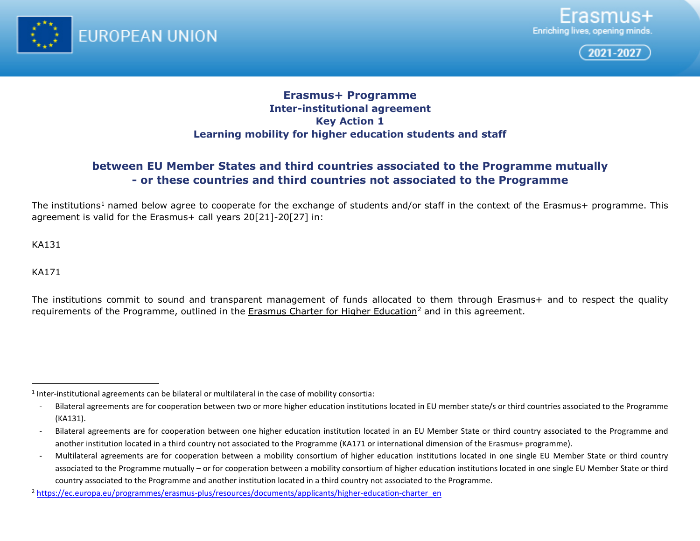

<span id="page-0-1"></span><span id="page-0-0"></span>



## **Erasmus+ Programme Inter-institutional agreement Key Action 1 Learning mobility for higher education students and staff**

# **between EU Member States and third countries associated to the Programme mutually - or these countries and third countries not associated to the Programme**

The institutions<sup>[1](#page-0-0)</sup> named below agree to cooperate for the exchange of students and/or staff in the context of the Erasmus+ programme. This agreement is valid for the Erasmus+ call years 20[21]-20[27] in:

KA131

KA171

The institutions commit to sound and transparent management of funds allocated to them through Erasmus+ and to respect the quality requirements of the Programme, outlined in the [Erasmus Charter for Higher Education](about:blank)<sup>[2](#page-0-1)</sup> and in this agreement.

 $<sup>1</sup>$  Inter-institutional agreements can be bilateral or multilateral in the case of mobility consortia:</sup>

<sup>-</sup> Bilateral agreements are for cooperation between two or more higher education institutions located in EU member state/s or third countries associated to the Programme (KA131).

<sup>-</sup> Bilateral agreements are for cooperation between one higher education institution located in an EU Member State or third country associated to the Programme and another institution located in a third country not associated to the Programme (KA171 or international dimension of the Erasmus+ programme).

<sup>-</sup> Multilateral agreements are for cooperation between a mobility consortium of higher education institutions located in one single EU Member State or third country associated to the Programme mutually – or for cooperation between a mobility consortium of higher education institutions located in one single EU Member State or third country associated to the Programme and another institution located in a third country not associated to the Programme.

<sup>2</sup> [https://ec.europa.eu/programmes/erasmus-plus/resources/documents/applicants/higher-education-charter\\_en](about:blank)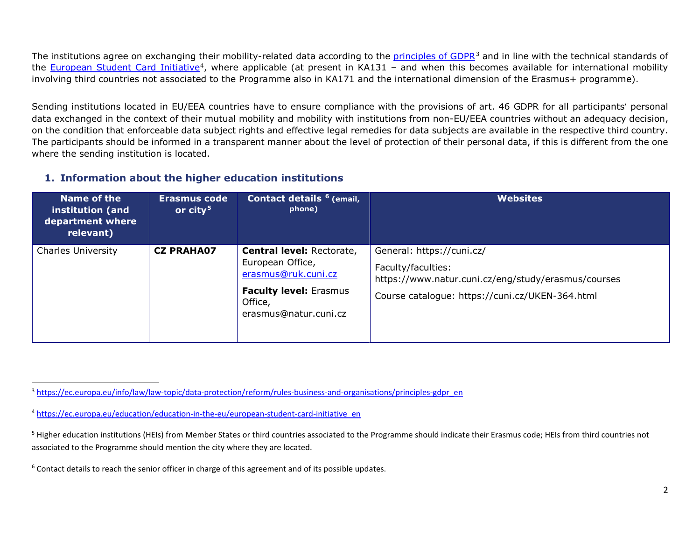<span id="page-1-3"></span><span id="page-1-2"></span><span id="page-1-1"></span><span id="page-1-0"></span>The institutions agree on exchanging their mobility-related data according to the [principles of GDPR](about:blank)<sup>[3](#page-1-0)</sup> and in line with the technical standards of the [European Student Card Initiative](about:blank)<sup>4</sup>, where applicable (at present in KA131 – and when this becomes available for international mobility involving third countries not associated to the Programme also in KA171 and the international dimension of the Erasmus+ programme).

Sending institutions located in EU/EEA countries have to ensure compliance with the provisions of art. 46 GDPR for all participants' personal data exchanged in the context of their mutual mobility and mobility with institutions from non-EU/EEA countries without an adequacy decision, on the condition that enforceable data subject rights and effective legal remedies for data subjects are available in the respective third country. The participants should be informed in a transparent manner about the level of protection of their personal data, if this is different from the one where the sending institution is located.

#### **1. Information about the higher education institutions**

| Name of the<br>institution (and<br>department where<br>relevant) | Erasmus code<br>or $city5$ | Contact details <sup>6</sup> (email,<br>phone)                                                                                                   | <b>Websites</b>                                                                                                                                           |
|------------------------------------------------------------------|----------------------------|--------------------------------------------------------------------------------------------------------------------------------------------------|-----------------------------------------------------------------------------------------------------------------------------------------------------------|
| <b>Charles University</b>                                        | <b>CZ PRAHA07</b>          | <b>Central level: Rectorate,</b><br>European Office,<br>erasmus@ruk.cuni.cz<br><b>Faculty level: Erasmus</b><br>Office,<br>erasmus@natur.cuni.cz | General: https://cuni.cz/<br>Faculty/faculties:<br>https://www.natur.cuni.cz/eng/study/erasmus/courses<br>Course catalogue: https://cuni.cz/UKEN-364.html |

<sup>&</sup>lt;sup>3</sup> [https://ec.europa.eu/info/law/law-topic/data-protection/reform/rules-business-and-organisations/principles-gdpr\\_en](about:blank)

<sup>4</sup> [https://ec.europa.eu/education/education-in-the-eu/european-student-card-initiative\\_en](about:blank)

<sup>&</sup>lt;sup>5</sup> Higher education institutions (HEIs) from Member States or third countries associated to the Programme should indicate their Erasmus code; HEIs from third countries not associated to the Programme should mention the city where they are located.

<sup>&</sup>lt;sup>6</sup> Contact details to reach the senior officer in charge of this agreement and of its possible updates.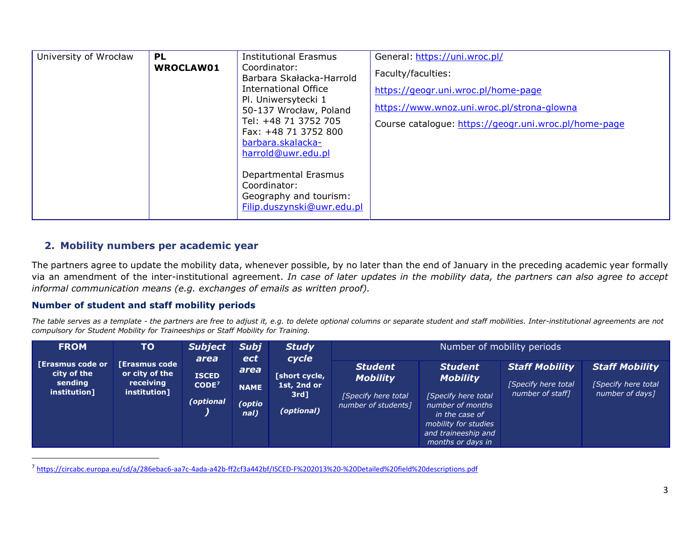<span id="page-2-0"></span>

| University of Wrocław | <b>PL</b>        | <b>Institutional Erasmus</b>                  | General: https://uni.wroc.pl/                         |
|-----------------------|------------------|-----------------------------------------------|-------------------------------------------------------|
|                       | <b>WROCLAW01</b> | Coordinator:<br>Barbara Skałacka-Harrold      | Faculty/faculties:                                    |
|                       |                  | International Office                          | https://geogr.uni.wroc.pl/home-page                   |
|                       |                  | Pl. Uniwersytecki 1<br>50-137 Wrocław, Poland | https://www.wnoz.uni.wroc.pl/strona-glowna            |
|                       |                  | Tel: +48 71 3752 705                          | Course catalogue: https://geogr.uni.wroc.pl/home-page |
|                       |                  | Fax: +48 71 3752 800<br>barbara.skalacka-     |                                                       |
|                       |                  | harrold@uwr.edu.pl                            |                                                       |
|                       |                  | Departmental Erasmus                          |                                                       |
|                       |                  | Coordinator:<br>Geography and tourism:        |                                                       |
|                       |                  | Filip.duszynski@uwr.edu.pl                    |                                                       |

#### **2. Mobility numbers per academic year**

The partners agree to update the mobility data, whenever possible, by no later than the end of January in the preceding academic year formally via an amendment of the inter-institutional agreement. *In case of later updates in the mobility data, the partners can also agree to accept informal communication means (e.g. exchanges of emails as written proof).*

#### **Number of student and staff mobility periods**

*The table serves as a template - the partners are free to adjust it, e.g. to delete optional columns or separate student and staff mobilities. Inter-institutional agreements are not compulsory for Student Mobility for Traineeships or Staff Mobility for Training.*

| <b>FROM</b>                                                | <b>TO</b>                                                    | <b>Subject</b>                                         | <b>Subj</b>                                         | <b>Study</b>                                                   |                                                                                 | Number of mobility periods                                                                                                                                         |                                                                  |                                                                  |
|------------------------------------------------------------|--------------------------------------------------------------|--------------------------------------------------------|-----------------------------------------------------|----------------------------------------------------------------|---------------------------------------------------------------------------------|--------------------------------------------------------------------------------------------------------------------------------------------------------------------|------------------------------------------------------------------|------------------------------------------------------------------|
| [Erasmus code or<br>city of the<br>sending<br>institution] | [Erasmus code<br>or city of the<br>receiving<br>institution] | area<br><b>ISCED</b><br>CODE <sup>7</sup><br>(optional | <b>ect</b><br>area<br><b>NAME</b><br>optio)<br>nal) | cycle<br>[short cycle,<br>1st, 2nd or<br>$3rd$ ]<br>(optional) | <b>Student</b><br><b>Mobility</b><br>[Specify here total<br>number of students] | <b>Student</b><br><b>Mobility</b><br>[Specify here total<br>number of months<br>in the case of<br>mobility for studies<br>and traineeship and<br>months or days in | <b>Staff Mobility</b><br>[Specify here total<br>number of staff] | <b>Staff Mobility</b><br>[Specify here total]<br>number of days] |

7 [https://circabc.europa.eu/sd/a/286ebac6-aa7c-4ada-a42b-ff2cf3a442bf/ISCED-F%202013%20-%20Detailed%20field%20descriptions.pdf](about:blank)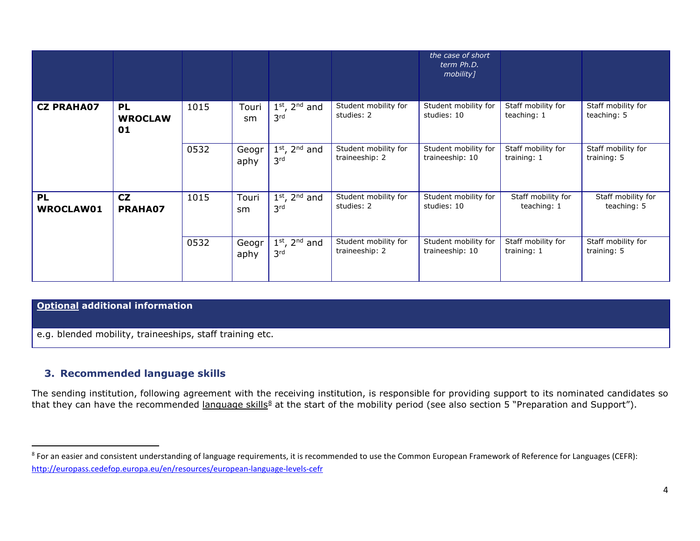<span id="page-3-0"></span>

|                        |                                   |      |               |                                                |                                        | the case of short<br>term Ph.D.<br>mobility] |                                   |                                   |
|------------------------|-----------------------------------|------|---------------|------------------------------------------------|----------------------------------------|----------------------------------------------|-----------------------------------|-----------------------------------|
| <b>CZ PRAHA07</b>      | <b>PL</b><br><b>WROCLAW</b><br>01 | 1015 | Touri<br>sm   | $1st$ , $2nd$ and<br>3rd                       | Student mobility for<br>studies: 2     | Student mobility for<br>studies: 10          | Staff mobility for<br>teaching: 1 | Staff mobility for<br>teaching: 5 |
|                        |                                   | 0532 | Geogr<br>aphy | $1st$ , 2 <sup>nd</sup> and<br>3 <sup>rd</sup> | Student mobility for<br>traineeship: 2 | Student mobility for<br>traineeship: 10      | Staff mobility for<br>training: 1 | Staff mobility for<br>training: 5 |
| <b>PL</b><br>WROCLAW01 | CZ<br>PRAHA07                     | 1015 | Touri<br>sm   | $1st$ , 2 <sup>nd</sup> and<br>3 <sup>rd</sup> | Student mobility for<br>studies: 2     | Student mobility for<br>studies: 10          | Staff mobility for<br>teaching: 1 | Staff mobility for<br>teaching: 5 |
|                        |                                   | 0532 | Geogr<br>aphy | $1st$ , 2 <sup>nd</sup> and<br>3 <sup>rd</sup> | Student mobility for<br>traineeship: 2 | Student mobility for<br>traineeship: 10      | Staff mobility for<br>training: 1 | Staff mobility for<br>training: 5 |

#### **Optional additional information**

e.g. blended mobility, traineeships, staff training etc.

## **3. Recommended language skills**

The sending institution, following agreement with the receiving institution, is responsible for providing support to its nominated candidates so that they can have the recommended language skills<sup>8</sup> at the start of the mobility period (see also section 5 "Preparation and Support").

<sup>&</sup>lt;sup>8</sup> For an easier and consistent understanding of language requirements, it is recommended to use the Common European Framework of Reference for Languages (CEFR): [http://europass.cedefop.europa.eu/en/resources/european-language-levels-cefr](about:blank)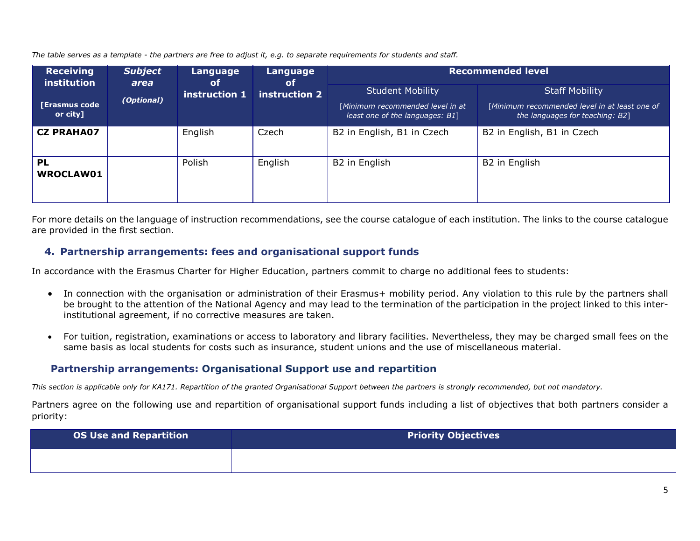*The table serves as a template - the partners are free to adjust it, e.g. to separate requirements for students and staff.* 

| <b>Receiving</b><br>institution  | <b>Subject</b><br>area | Language<br><b>of</b> | Language<br>of | <b>Recommended level</b>                                                                       |                                                                                                           |  |
|----------------------------------|------------------------|-----------------------|----------------|------------------------------------------------------------------------------------------------|-----------------------------------------------------------------------------------------------------------|--|
| <b>[Erasmus code</b><br>or city] | (Optional)             | instruction 1         | instruction 2  | <b>Student Mobility</b><br>[Minimum recommended level in at<br>least one of the languages: B1] | <b>Staff Mobility</b><br>[Minimum recommended level in at least one of<br>the languages for teaching: B2] |  |
| <b>CZ PRAHA07</b>                |                        | English               | Czech          | B2 in English, B1 in Czech                                                                     | B2 in English, B1 in Czech                                                                                |  |
| <b>PL</b><br>WROCLAW01           |                        | Polish                | English        | B2 in English                                                                                  | B2 in English                                                                                             |  |

For more details on the language of instruction recommendations, see the course catalogue of each institution. The links to the course catalogue are provided in the first section*.*

#### **4. Partnership arrangements: fees and organisational support funds**

In accordance with the Erasmus Charter for Higher Education, partners commit to charge no additional fees to students:

- In connection with the organisation or administration of their Erasmus+ mobility period. Any violation to this rule by the partners shall be brought to the attention of the National Agency and may lead to the termination of the participation in the project linked to this interinstitutional agreement, if no corrective measures are taken.
- For tuition, registration, examinations or access to laboratory and library facilities. Nevertheless, they may be charged small fees on the same basis as local students for costs such as insurance, student unions and the use of miscellaneous material.

#### **Partnership arrangements: Organisational Support use and repartition**

*This section is applicable only for KA171. Repartition of the granted Organisational Support between the partners is strongly recommended, but not mandatory.*

Partners agree on the following use and repartition of organisational support funds including a list of objectives that both partners consider a priority:

| <b>OS Use and Repartition</b> | <b>Priority Objectives</b> |
|-------------------------------|----------------------------|
|                               |                            |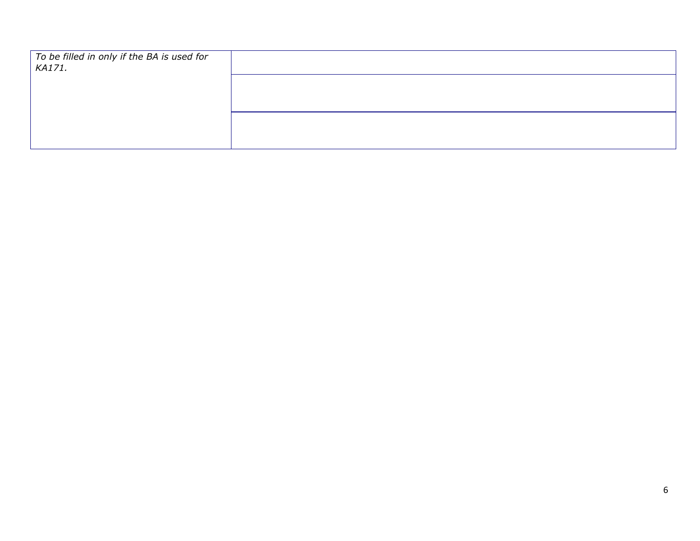| To be filled in only if the BA is used for<br>KA171. |  |
|------------------------------------------------------|--|
|                                                      |  |
|                                                      |  |
|                                                      |  |
|                                                      |  |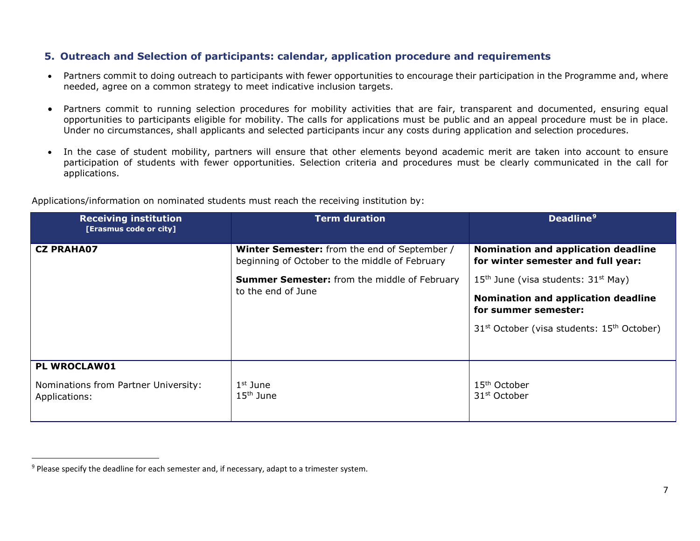## <span id="page-6-0"></span>**5. Outreach and Selection of participants: calendar, application procedure and requirements**

- Partners commit to doing outreach to participants with fewer opportunities to encourage their participation in the Programme and, where needed, agree on a common strategy to meet indicative inclusion targets.
- Partners commit to running selection procedures for mobility activities that are fair, transparent and documented, ensuring equal opportunities to participants eligible for mobility. The calls for applications must be public and an appeal procedure must be in place. Under no circumstances, shall applicants and selected participants incur any costs during application and selection procedures.
- In the case of student mobility, partners will ensure that other elements beyond academic merit are taken into account to ensure participation of students with fewer opportunities. Selection criteria and procedures must be clearly communicated in the call for applications.

| <b>Receiving institution</b><br>[Erasmus code or city] | <b>Term duration</b>                                                                                  | Deadline <sup>9</sup>                                                     |
|--------------------------------------------------------|-------------------------------------------------------------------------------------------------------|---------------------------------------------------------------------------|
| <b>CZ PRAHA07</b>                                      | <b>Winter Semester:</b> from the end of September /<br>beginning of October to the middle of February | Nomination and application deadline<br>for winter semester and full year: |
|                                                        | Summer Semester: from the middle of February                                                          | $15th$ June (visa students: $31st$ May)                                   |
|                                                        | to the end of June                                                                                    | Nomination and application deadline<br>for summer semester:               |
|                                                        |                                                                                                       | 31 <sup>st</sup> October (visa students: 15 <sup>th</sup> October)        |
|                                                        |                                                                                                       |                                                                           |
| PL WROCLAW01                                           |                                                                                                       |                                                                           |
| Nominations from Partner University:<br>Applications:  | $1st$ June<br>15 <sup>th</sup> June                                                                   | 15 <sup>th</sup> October<br>31 <sup>st</sup> October                      |

Applications/information on nominated students must reach the receiving institution by:

<sup>&</sup>lt;sup>9</sup> Please specify the deadline for each semester and, if necessary, adapt to a trimester system.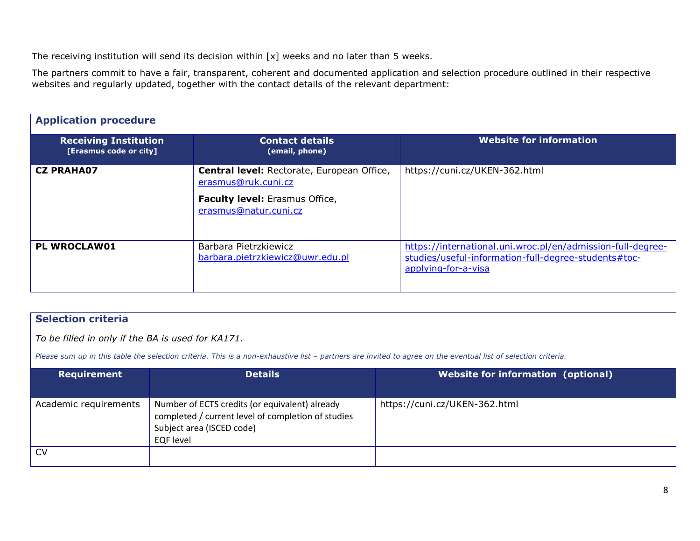The receiving institution will send its decision within [x] weeks and no later than 5 weeks.

The partners commit to have a fair, transparent, coherent and documented application and selection procedure outlined in their respective websites and regularly updated, together with the contact details of the relevant department:

| <b>Application procedure</b>                           |                                                                                                                                     |                                                                                                                                            |
|--------------------------------------------------------|-------------------------------------------------------------------------------------------------------------------------------------|--------------------------------------------------------------------------------------------------------------------------------------------|
| <b>Receiving Institution</b><br>[Erasmus code or city] | <b>Contact details</b><br>(email, phone)                                                                                            | Website for information                                                                                                                    |
| <b>CZ PRAHA07</b>                                      | Central level: Rectorate, European Office,<br>erasmus@ruk.cuni.cz<br><b>Faculty level:</b> Erasmus Office,<br>erasmus@natur.cuni.cz | https://cuni.cz/UKEN-362.html                                                                                                              |
| <b>PL WROCLAW01</b>                                    | Barbara Pietrzkiewicz<br>barbara.pietrzkiewicz@uwr.edu.pl                                                                           | https://international.uni.wroc.pl/en/admission-full-degree-<br>studies/useful-information-full-degree-students#toc-<br>applying-for-a-visa |

## **Selection criteria**

*To be filled in only if the BA is used for KA171.*

*Please sum up in this table the selection criteria. This is a non-exhaustive list – partners are invited to agree on the eventual list of selection criteria.*

| Requirement           | <b>Details</b>                                                                                                                                        | Website for information (optional) |
|-----------------------|-------------------------------------------------------------------------------------------------------------------------------------------------------|------------------------------------|
| Academic requirements | Number of ECTS credits (or equivalent) already<br>completed / current level of completion of studies<br>Subject area (ISCED code)<br><b>EQF</b> level | https://cuni.cz/UKEN-362.html      |
| <b>CV</b>             |                                                                                                                                                       |                                    |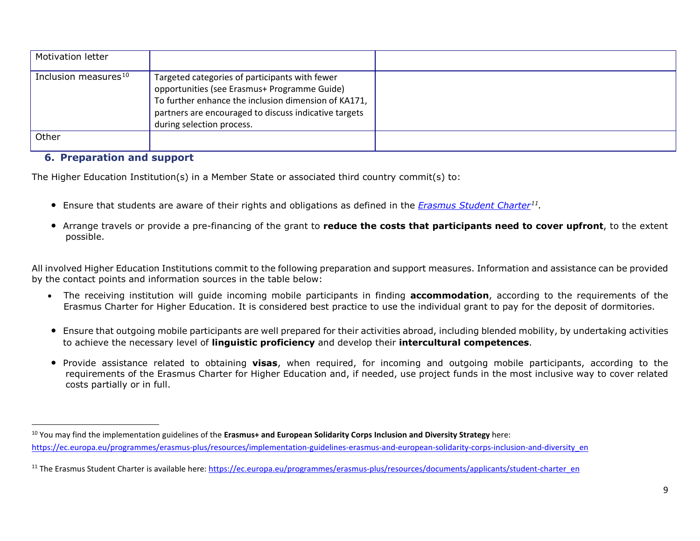<span id="page-8-1"></span><span id="page-8-0"></span>

| <b>Motivation letter</b>         |                                                                                                                                                                                                                                              |  |
|----------------------------------|----------------------------------------------------------------------------------------------------------------------------------------------------------------------------------------------------------------------------------------------|--|
| Inclusion measures <sup>10</sup> | Targeted categories of participants with fewer<br>opportunities (see Erasmus+ Programme Guide)<br>To further enhance the inclusion dimension of KA171,<br>partners are encouraged to discuss indicative targets<br>during selection process. |  |
| Other                            |                                                                                                                                                                                                                                              |  |

#### **6. Preparation and support**

The Higher Education Institution(s) in a Member State or associated third country commit(s) to:

- Ensure that students are aware of their rights and obligations as defined in the *[Erasmus Student Charter](about:blank)[11](#page-8-1).*
- Arrange travels or provide a pre-financing of the grant to **reduce the costs that participants need to cover upfront**, to the extent possible.

All involved Higher Education Institutions commit to the following preparation and support measures. Information and assistance can be provided by the contact points and information sources in the table below:

- The receiving institution will guide incoming mobile participants in finding **accommodation**, according to the requirements of the Erasmus Charter for Higher Education. It is considered best practice to use the individual grant to pay for the deposit of dormitories.
- Ensure that outgoing mobile participants are well prepared for their activities abroad, including blended mobility, by undertaking activities to achieve the necessary level of **linguistic proficiency** and develop their **intercultural competences**.
- Provide assistance related to obtaining **visas**, when required, for incoming and outgoing mobile participants, according to the requirements of the Erasmus Charter for Higher Education and, if needed, use project funds in the most inclusive way to cover related costs partially or in full.

 <sup>10</sup> You may find the implementation guidelines of the **Erasmus+ and European Solidarity Corps Inclusion and Diversity Strategy** here: [https://ec.europa.eu/programmes/erasmus-plus/resources/implementation-guidelines-erasmus-and-european-solidarity-corps-inclusion-and-diversity\\_en](about:blank)

<sup>&</sup>lt;sup>11</sup> The Erasmus Student Charter is available here: [https://ec.europa.eu/programmes/erasmus-plus/resources/documents/applicants/student-charter\\_en](about:blank)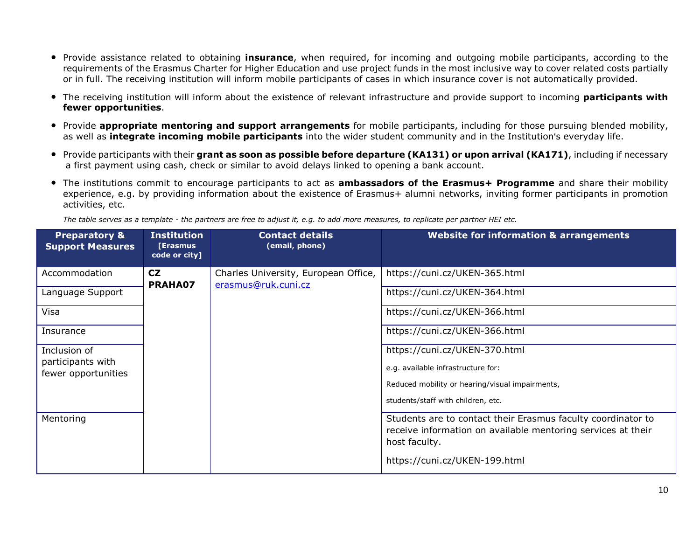- Provide assistance related to obtaining **insurance**, when required, for incoming and outgoing mobile participants, according to the requirements of the Erasmus Charter for Higher Education and use project funds in the most inclusive way to cover related costs partially or in full. The receiving institution will inform mobile participants of cases in which insurance cover is not automatically provided.
- The receiving institution will inform about the existence of relevant infrastructure and provide support to incoming **participants with fewer opportunities**.
- Provide **appropriate mentoring and support arrangements** for mobile participants, including for those pursuing blended mobility, as well as **integrate incoming mobile participants** into the wider student community and in the Institution's everyday life.
- Provide participants with their **grant as soon as possible before departure (KA131) or upon arrival (KA171)**, including if necessary a first payment using cash, check or similar to avoid delays linked to opening a bank account.
- The institutions commit to encourage participants to act as **ambassadors of the Erasmus+ Programme** and share their mobility experience, e.g. by providing information about the existence of Erasmus+ alumni networks, inviting former participants in promotion activities, etc.

*The table serves as a template - the partners are free to adjust it, e.g. to add more measures, to replicate per partner HEI etc.* 

| <b>Preparatory &amp;</b><br><b>Support Measures</b> | <b>Institution</b><br><b>[Erasmus</b><br>code or city] | <b>Contact details</b><br>(email, phone)                    | <b>Website for information &amp; arrangements</b>                                                                                             |
|-----------------------------------------------------|--------------------------------------------------------|-------------------------------------------------------------|-----------------------------------------------------------------------------------------------------------------------------------------------|
| Accommodation                                       | <b>CZ</b><br>PRAHA07                                   | Charles University, European Office,<br>erasmus@ruk.cuni.cz | https://cuni.cz/UKEN-365.html                                                                                                                 |
| Language Support                                    |                                                        |                                                             | https://cuni.cz/UKEN-364.html                                                                                                                 |
| Visa                                                |                                                        |                                                             | https://cuni.cz/UKEN-366.html                                                                                                                 |
| Insurance                                           |                                                        |                                                             | https://cuni.cz/UKEN-366.html                                                                                                                 |
| Inclusion of<br>participants with                   |                                                        |                                                             | https://cuni.cz/UKEN-370.html                                                                                                                 |
| fewer opportunities                                 |                                                        |                                                             | e.g. available infrastructure for:                                                                                                            |
|                                                     |                                                        |                                                             | Reduced mobility or hearing/visual impairments,                                                                                               |
|                                                     |                                                        |                                                             | students/staff with children, etc.                                                                                                            |
| Mentoring                                           |                                                        |                                                             | Students are to contact their Erasmus faculty coordinator to<br>receive information on available mentoring services at their<br>host faculty. |
|                                                     |                                                        |                                                             | https://cuni.cz/UKEN-199.html                                                                                                                 |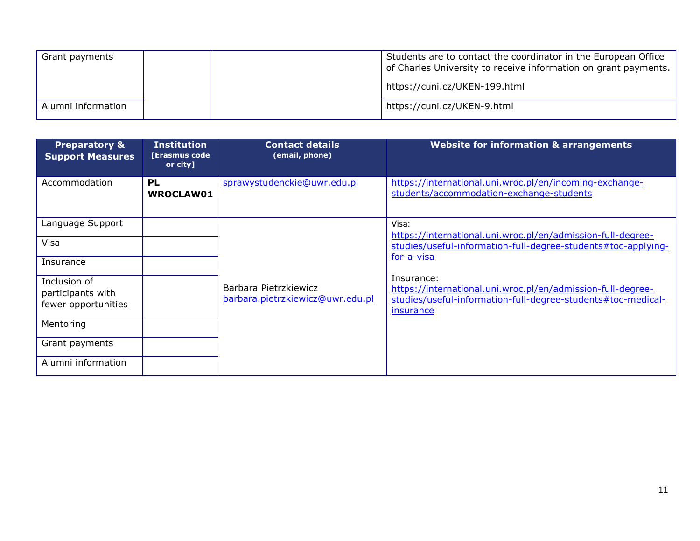| Grant payments     | Students are to contact the coordinator in the European Office<br>of Charles University to receive information on grant payments. |
|--------------------|-----------------------------------------------------------------------------------------------------------------------------------|
|                    | https://cuni.cz/UKEN-199.html                                                                                                     |
| Alumni information | https://cuni.cz/UKEN-9.html                                                                                                       |

| <b>Preparatory &amp;</b><br><b>Support Measures</b>      | <b>Institution</b><br><b>[Erasmus code</b><br>or city] | <b>Contact details</b><br>(email, phone)                  | <b>Website for information &amp; arrangements</b>                                                                                                                                                                                     |
|----------------------------------------------------------|--------------------------------------------------------|-----------------------------------------------------------|---------------------------------------------------------------------------------------------------------------------------------------------------------------------------------------------------------------------------------------|
| Accommodation                                            | <b>PL</b><br><b>WROCLAW01</b>                          | sprawystudenckie@uwr.edu.pl                               | https://international.uni.wroc.pl/en/incoming-exchange-<br>students/accommodation-exchange-students                                                                                                                                   |
| Language Support                                         |                                                        |                                                           | Visa:<br>https://international.uni.wroc.pl/en/admission-full-degree-                                                                                                                                                                  |
| Visa                                                     |                                                        |                                                           | studies/useful-information-full-degree-students#toc-applying-<br>for-a-visa<br>Insurance:<br>https://international.uni.wroc.pl/en/admission-full-degree-<br>studies/useful-information-full-degree-students#toc-medical-<br>insurance |
| Insurance                                                |                                                        |                                                           |                                                                                                                                                                                                                                       |
| Inclusion of<br>participants with<br>fewer opportunities |                                                        | Barbara Pietrzkiewicz<br>barbara.pietrzkiewicz@uwr.edu.pl |                                                                                                                                                                                                                                       |
| Mentoring                                                |                                                        |                                                           |                                                                                                                                                                                                                                       |
| Grant payments                                           |                                                        |                                                           |                                                                                                                                                                                                                                       |
| Alumni information                                       |                                                        |                                                           |                                                                                                                                                                                                                                       |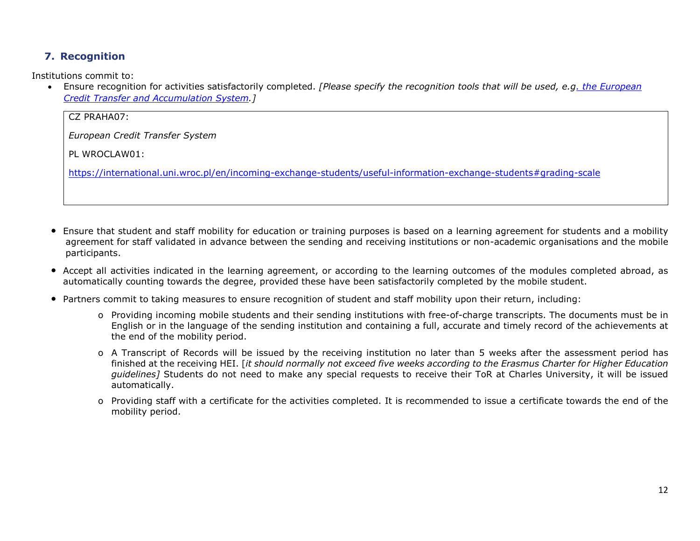## **7. Recognition**

Institutions commit to:

• Ensure recognition for activities satisfactorily completed. *[Please specify the recognition tools that will be used, e.[g. the European](about:blank)  [Credit Transfer and Accumulation System.](about:blank)]*

CZ PRAHA07:

*European Credit Transfer System*

PL WROCLAW01:

[https://international.uni.wroc.pl/en/incoming-exchange-students/useful-information-exchange-students#grading-scale](about:blank#grading-scale)

- Ensure that student and staff mobility for education or training purposes is based on a learning agreement for students and a mobility agreement for staff validated in advance between the sending and receiving institutions or non-academic organisations and the mobile participants.
- Accept all activities indicated in the learning agreement, or according to the learning outcomes of the modules completed abroad, as automatically counting towards the degree, provided these have been satisfactorily completed by the mobile student.
- Partners commit to taking measures to ensure recognition of student and staff mobility upon their return, including:
	- o Providing incoming mobile students and their sending institutions with free-of-charge transcripts. The documents must be in English or in the language of the sending institution and containing a full, accurate and timely record of the achievements at the end of the mobility period.
	- o A Transcript of Records will be issued by the receiving institution no later than 5 weeks after the assessment period has finished at the receiving HEI. [*it should normally not exceed five weeks according to the Erasmus Charter for Higher Education guidelines]* Students do not need to make any special requests to receive their ToR at Charles University, it will be issued automatically.
	- o Providing staff with a certificate for the activities completed. It is recommended to issue a certificate towards the end of the mobility period.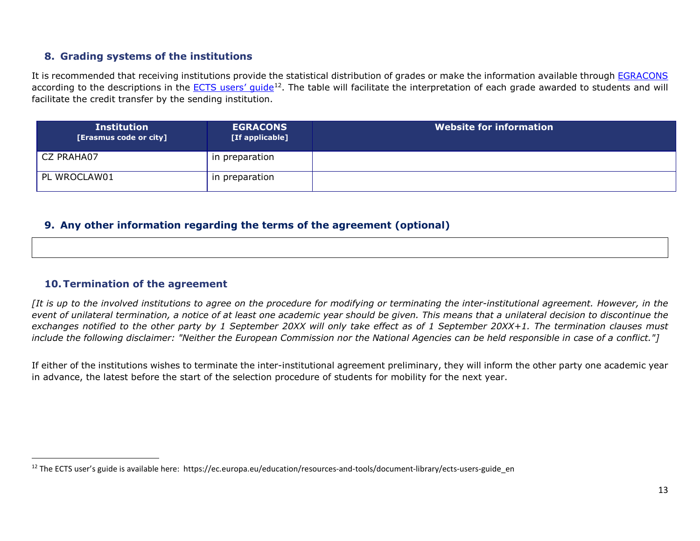## <span id="page-12-0"></span>**8. Grading systems of the institutions**

It is recommended that receiving institutions provide the statistical distribution of grades or make the information available through [EGRACONS](about:blank) according to the descriptions in the ECTS users' quide<sup>12</sup>. The table will facilitate the interpretation of each grade awarded to students and will facilitate the credit transfer by the sending institution.

| <b>Institution</b><br>[Erasmus code or city] | <b>EGRACONS</b><br>[If applicable] | Website for information |
|----------------------------------------------|------------------------------------|-------------------------|
| CZ PRAHA07                                   | in preparation                     |                         |
| PL WROCLAW01                                 | in preparation                     |                         |

#### **9. Any other information regarding the terms of the agreement (optional)**

#### **10.Termination of the agreement**

*[It is up to the involved institutions to agree on the procedure for modifying or terminating the inter-institutional agreement. However, in the event of unilateral termination, a notice of at least one academic year should be given. This means that a unilateral decision to discontinue the exchanges notified to the other party by 1 September 20XX will only take effect as of 1 September 20XX+1. The termination clauses must include the following disclaimer: "Neither the European Commission nor the National Agencies can be held responsible in case of a conflict."]*

If either of the institutions wishes to terminate the inter-institutional agreement preliminary, they will inform the other party one academic year in advance, the latest before the start of the selection procedure of students for mobility for the next year.

<sup>&</sup>lt;sup>12</sup> The ECTS user's guide is available here: https://ec.europa.eu/education/resources-and-tools/document-library/ects-users-guide\_en